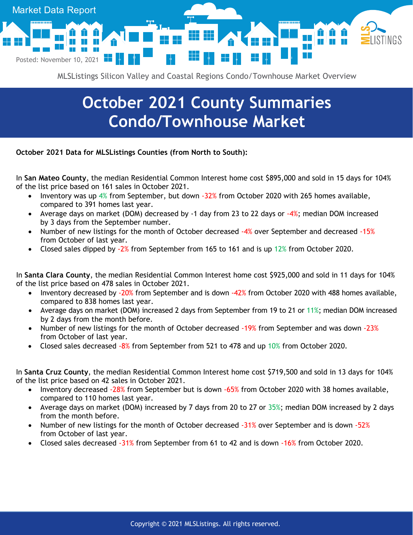

MLSListings Silicon Valley and Coastal Regions Condo/Townhouse Market Overview

## **October 2021 County Summaries Condo/Townhouse Market**

**October 2021 Data for MLSListings Counties (from North to South):**

In **San Mateo County**, the median Residential Common Interest home cost \$895,000 and sold in 15 days for 104% of the list price based on 161 sales in October 2021.

- Inventory was up  $4\%$  from September, but down  $-32\%$  from October 2020 with 265 homes available, compared to 391 homes last year.
- Average days on market (DOM) decreased by -1 day from 23 to 22 days or  $-4\%$ ; median DOM increased by 3 days from the September number.
- Number of new listings for the month of October decreased -4% over September and decreased -15% from October of last year.
- Closed sales dipped by -2% from September from 165 to 161 and is up 12% from October 2020.

In **Santa Clara County**, the median Residential Common Interest home cost \$925,000 and sold in 11 days for 104% of the list price based on 478 sales in October 2021.

- Inventory decreased by -20% from September and is down -42% from October 2020 with 488 homes available, compared to 838 homes last year.
- Average days on market (DOM) increased 2 days from September from 19 to 21 or 11%; median DOM increased by 2 days from the month before.
- Number of new listings for the month of October decreased -19% from September and was down -23% from October of last year.
- Closed sales decreased -8% from September from 521 to 478 and up 10% from October 2020.

In **Santa Cruz County**, the median Residential Common Interest home cost \$719,500 and sold in 13 days for 104% of the list price based on 42 sales in October 2021.

- Inventory decreased -28% from September but is down -65% from October 2020 with 38 homes available, compared to 110 homes last year.
- Average days on market (DOM) increased by 7 days from 20 to 27 or  $35\%$ ; median DOM increased by 2 days from the month before.
- Number of new listings for the month of October decreased -31% over September and is down -52% from October of last year.
- Closed sales decreased -31% from September from 61 to 42 and is down -16% from October 2020.